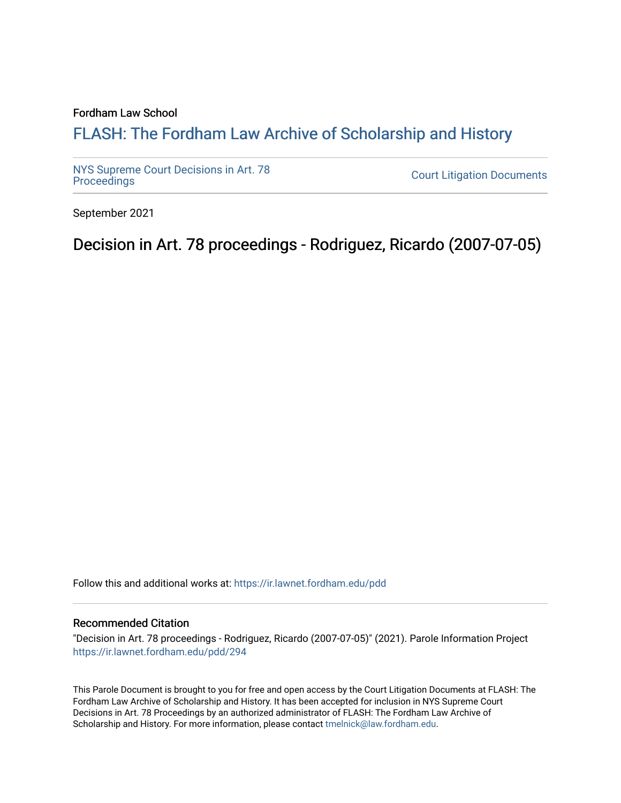#### Fordham Law School

# FLASH: The For[dham Law Archive of Scholarship and Hist](https://ir.lawnet.fordham.edu/)ory

[NYS Supreme Court Decisions in Art. 78](https://ir.lawnet.fordham.edu/pdd)

**Court Litigation Documents** 

September 2021

Decision in Art. 78 proceedings - Rodriguez, Ricardo (2007-07-05)

Follow this and additional works at: [https://ir.lawnet.fordham.edu/pdd](https://ir.lawnet.fordham.edu/pdd?utm_source=ir.lawnet.fordham.edu%2Fpdd%2F294&utm_medium=PDF&utm_campaign=PDFCoverPages)

#### Recommended Citation

"Decision in Art. 78 proceedings - Rodriguez, Ricardo (2007-07-05)" (2021). Parole Information Project [https://ir.lawnet.fordham.edu/pdd/294](https://ir.lawnet.fordham.edu/pdd/294?utm_source=ir.lawnet.fordham.edu%2Fpdd%2F294&utm_medium=PDF&utm_campaign=PDFCoverPages)

This Parole Document is brought to you for free and open access by the Court Litigation Documents at FLASH: The Fordham Law Archive of Scholarship and History. It has been accepted for inclusion in NYS Supreme Court Decisions in Art. 78 Proceedings by an authorized administrator of FLASH: The Fordham Law Archive of Scholarship and History. For more information, please contact [tmelnick@law.fordham.edu](mailto:tmelnick@law.fordham.edu).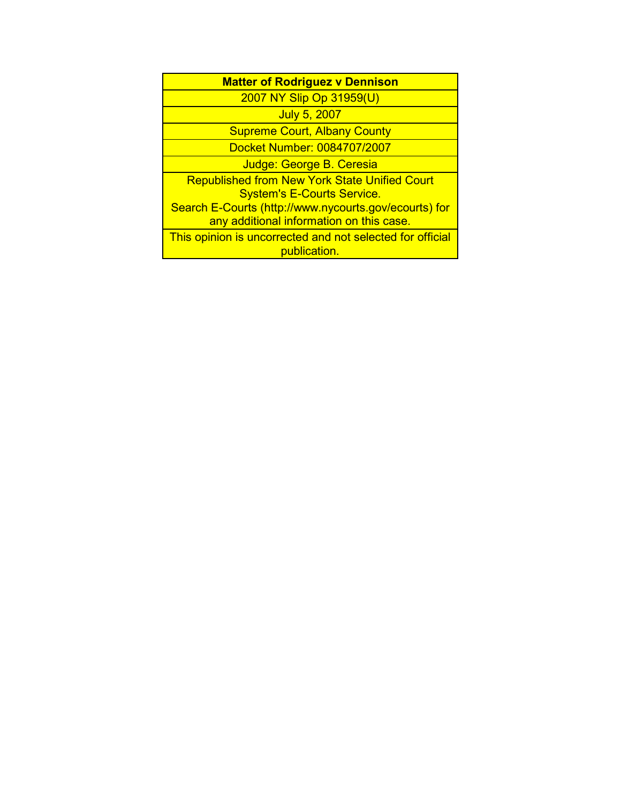| <b>Matter of Rodriguez v Dennison</b>                                                             |
|---------------------------------------------------------------------------------------------------|
| 2007 NY Slip Op 31959(U)                                                                          |
| <b>July 5, 2007</b>                                                                               |
| <b>Supreme Court, Albany County</b>                                                               |
| Docket Number: 0084707/2007                                                                       |
| Judge: George B. Ceresia                                                                          |
| <b>Republished from New York State Unified Court</b><br><b>System's E-Courts Service.</b>         |
| Search E-Courts (http://www.nycourts.gov/ecourts) for<br>any additional information on this case. |
| This opinion is uncorrected and not selected for official<br>publication.                         |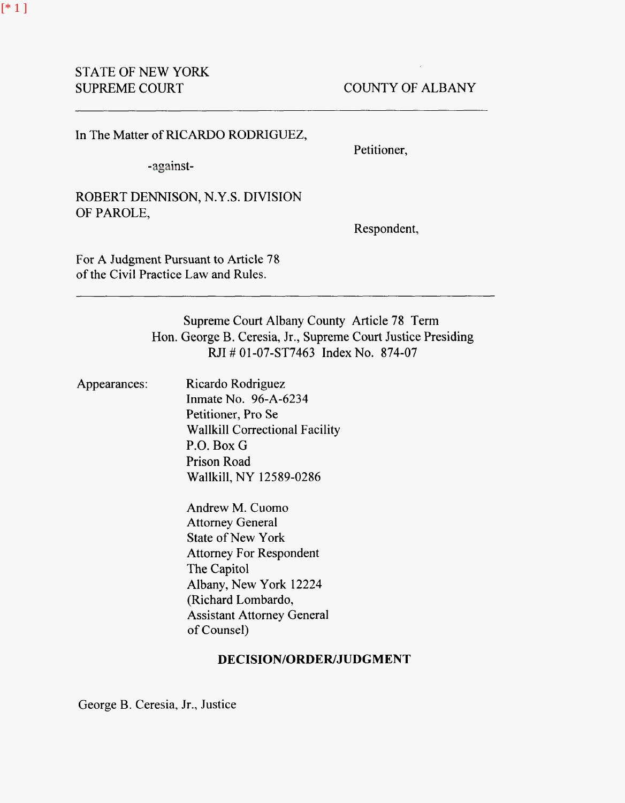In The Matter of RICARDO RODRIGUEZ,

-against-

Petitioner,

ROBERT DENNISON, N.Y.S. DIVISION OF PAROLE,

Respondent,

For A Judgment Pursuant to Article 78 of the Civil Practice Law and Rules.

> Supreme Court Albany County Article 78 Term Hon. George B. Ceresia, Jr., Supreme Court Justice Presiding RJI # 01-07-ST7463 Index No. 874-07

Appearances: Ricardo Rodriguez Inmate No. 96-A-6234 Petitioner, Pro Se Wallkill Correctional Facility P.O. Box G Prison Road Wallkill, NY 12589-0286

> Andrew M. Cuomo Attorney General State of New York Attorney For Respondent The Capitol Albany, New York 12224 (Richard Lombardo, Assistant Attorney General of Counsel)

## **DECISION/ORDER/JUDGMENT**

George B. Ceresia, Jr., Justice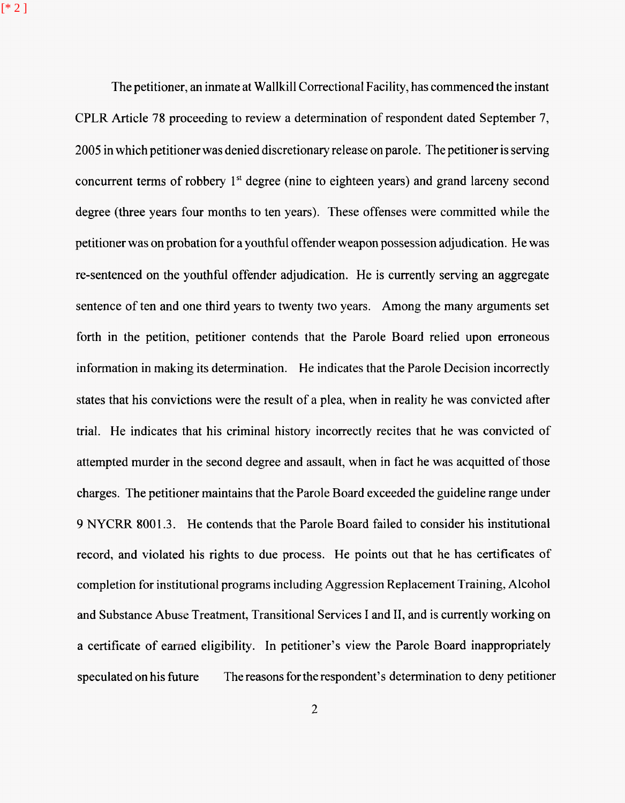[\* 2 ]

The petitioner, an inmate at Wallkill Correctional Facility, has commenced the instant CPLR Article **78** proceeding to review a determination of respondent dated September **7,**  2005 in which petitioner was denied discretionary release on parole. The petitioner is serving concurrent terms of robbery 1<sup>st</sup> degree (nine to eighteen years) and grand larceny second degree (three years four months to ten years). These offenses were committed while the petitioner was on probation for a youthful offender weapon possession adjudication. He was re-sentenced on the youthful offender adjudication. He is currently serving an aggregate sentence of ten and one third years to twenty two years. Among the many arguments set forth in the petition, petitioner contends that the Parole Board relied upon erroneous information in making its determination. He indicates that the Parole Decision incorrectly states that his convictions were the result of a plea, when in reality he was convicted after trial. He indicates that his criminal history incorrectly recites that he was convicted of attempted murder in the second degree and assault, when in fact he was acquitted of those charges. The petitioner maintains that the Parole Board exceeded the guideline range under 9 NYCRR **8001.3.** He contends that the Parole Board failed to consider his institutional record, and violated his rights to due process. He points out that he has certificates of completion for institutional programs including Aggression Replacement Training, Alcohol and Substance **Abusc:** Treatment, Transitional Services I and 11, and is currently working on a certificate of earned eligibility. In petitioner's view the Parole Board inappropriately speculated on his future The reasons for the respondent's determination to deny petitioner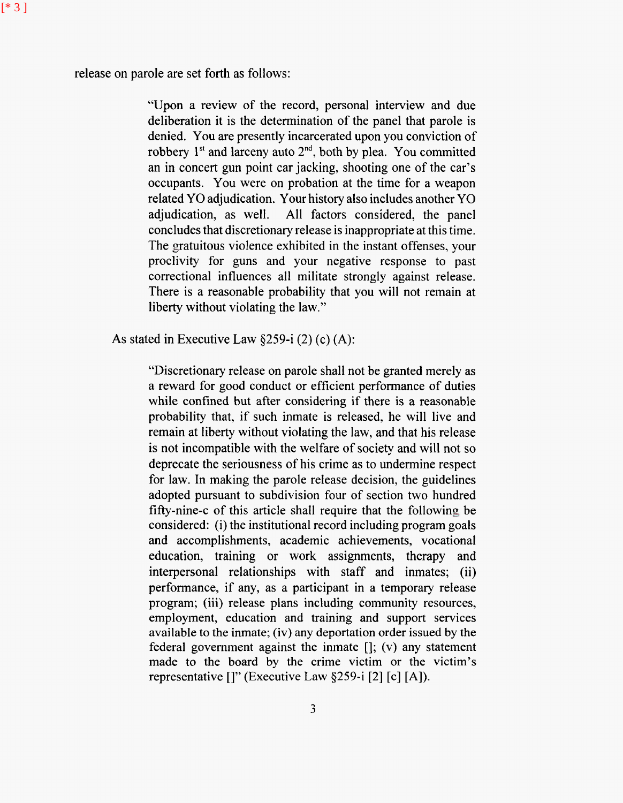release on parole are set forth as follows:

[\* 3 ]

"Upon a review of the record, personal interview and due deliberation it is the determination of the panel that parole is denied. You are presently incarcerated upon you conviction of robbery 1<sup>st</sup> and larceny auto 2<sup>nd</sup>, both by plea. You committed an in concert gun point car jacking, shooting one of the car's occupants. You were on probation at the time for a weapon related YO adjudication. Your history also includes another YO adjudication, as well. All factors considered, the panel concludes that discretionary release is inappropriate at this time. The gratuitous violence exhibited in the instant offenses, your proclivity for guns and your negative response to past correctional influences all militate strongly against release. There is a reasonable probability that you will not remain at liberty without violating the law."

As stated in Executive Law  $§259-i(2)(c)(A)$ :

"Discretionary release on parole shall not be granted merely as a reward for good conduct or efficient performance of duties while confined but after considering if there is a reasonable probability that, if such inmate is released, he will live and remain at liberty without violating the law, and that his release is not incompatible with the welfare of society and will not so deprecate the seriousness of his crime as to undermine respect for law. In making the parole release decision, the guidelines adopted pursuant to subdivision four of section two hundred fifty-nine-c of this article shall require that the following be considered: (i) the institutional record including program goals and accomplishments, academic achievements, vocational education, training or work assignments, therapy and interpersonal relationships with staff and inmates; (ii) performance, if any, as a participant in a temporary release program; (iii) release plans including community resources, employment, education and training and support services available to the inmate; (iv) any deportation order issued by the federal government against the inmate  $[i, (v)$  any statement made to the board by the crime victim or the victim's representative  $[]$ " (Executive Law  $§259-i$  [2] [c] [A]).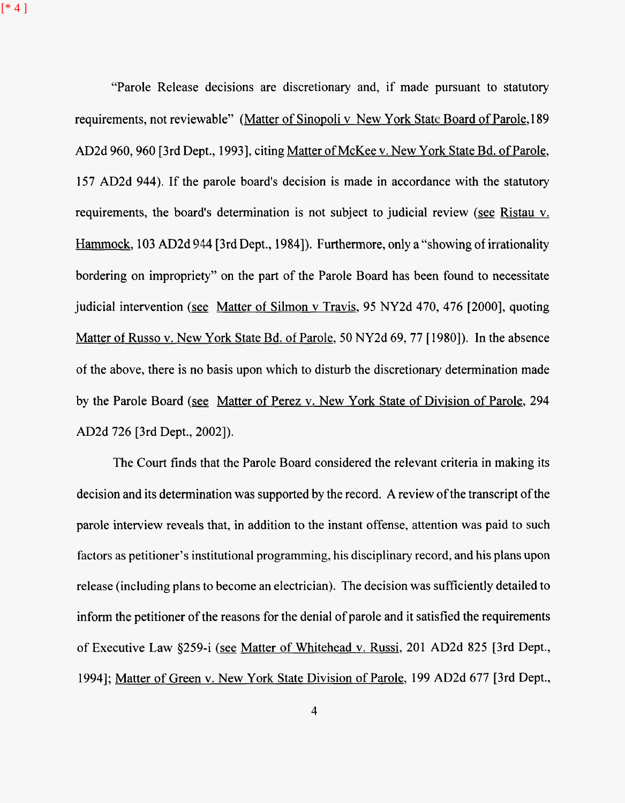[\* 4 ]

"Parole Release decisions are discretionary and, if made pursuant to statutory requirements, not reviewable" (Matter of Sinopoli v New York State Board of Parole, 189 AD2d 960, 960 [3rd Dept., 1993], citing Matter of McKee v. New York State Bd. of Parole, 157 AD2d 944). If the parole board's decision is made in accordance with the statutory requirements, the board's determination is not subject to judicial review *(see* Ristau v. Hammock, 103 AD2d 944 [3rd Dept., 1984]). Furthermore, only a "showing of irrationality bordering on impropriety" on the part of the Parole Board has been found to necessitate judicial intervention *(see* Matter of Silmon v Travis, 95 NY2d 470, 476 [2000], quoting Matter of Russo v. New York State Bd. of Parole, 50 NY2d 69, 77 [1980]). In the absence of the above, there is no basis upon which to disturb the discretionary determination made by the Parole Board *(see* Matter of Perez v. New York State of Division of Parole, 294 AD2d 726 [3rd Dept., 20021).

The Court finds that the Parole Board considered the relevant criteria in making its decision and its determination was supported by the record. **A** review of the transcript of the parole interview reveals that, in addition to the instant offense, attention was paid to such factors as petitioner's institutional programming, his disciplinary record, and his plans upon release (including plans to become an electrician). The decision was sufficiently detailed to inform the petitioner of the reasons for the denial of parole and it satisfied the requirements of Executive Law \$259-i *(see* Matter of Whitehead v. Russi, 201 AD2d 825 [3rd Dept., 19941; Matter of Green v. New York State Division of Parole, 199 AD2d 677 [3rd Dept.,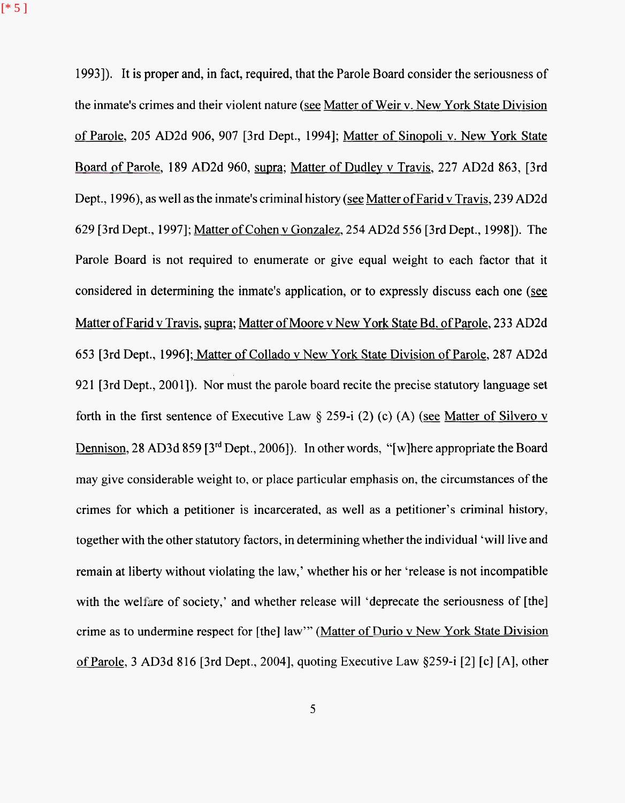$[ * 5 ]$ 

19931). It is proper and, in fact, required, that the Parole Board consider the seriousness of the inmate's crimes and their violent nature *(see* Matter of Weir v. New York State Division of Parole, 205 AD2d 906, 907 [3rd Dept., 19941; Matter of Sinopoli v. New York State Board of Parole, 189 AD2d 960, supra; Matter of Dudley v Travis, 227 AD2d 863, [3rd Dept., 1996), as well as the inmate's criminal history *(see* Matter of Farid v Travis, 239 AD2d 629 [3rd Dept., 19971; Matter of Cohen v Gonzalez, 254 AD2d 556 [3rd Dept., 19981). The Parole Board is not required to enumerate or give equal weight to each factor that it considered in determining the inmate's application, or to expressly discuss each one *(see*  Matter of Farid v Travis, supra; Matter of Moore v New York State Bd. of Parole, 233 AD2d 653 [3rd Dept., 19961; Matter of Collado v New York State Division of Parole, 287 AD2d 921 [3rd Dept., 2001]). Nor must the parole board recite the precise statutory language set forth in the first sentence of Executive Law § 259-i (2) (c) (A) (see Matter of Silvero v Dennison, 28 AD3d 859 **[3"'** Dept., 20061). In other words, "[wlhere appropriate the Board may give considerable weight to, or place particular emphasis on, the circumstances of the crimes for which a petitioner is incarcerated, as well as a petitioner's criminal history, together with the other statutory factors, in determining whether the individual 'will live and remain at liberty without violating the law,' whether his or her 'release is not incompatible with the welfare of society,' and whether release will 'deprecate the seriousness of [the] crime as to undermine respect for [the] law"" (Matter of Durio v New York State Division of Parole, 3 AD3d 816 [3rd Dept., 20041, quoting Executive Law \$2594 [2] [c] [A], other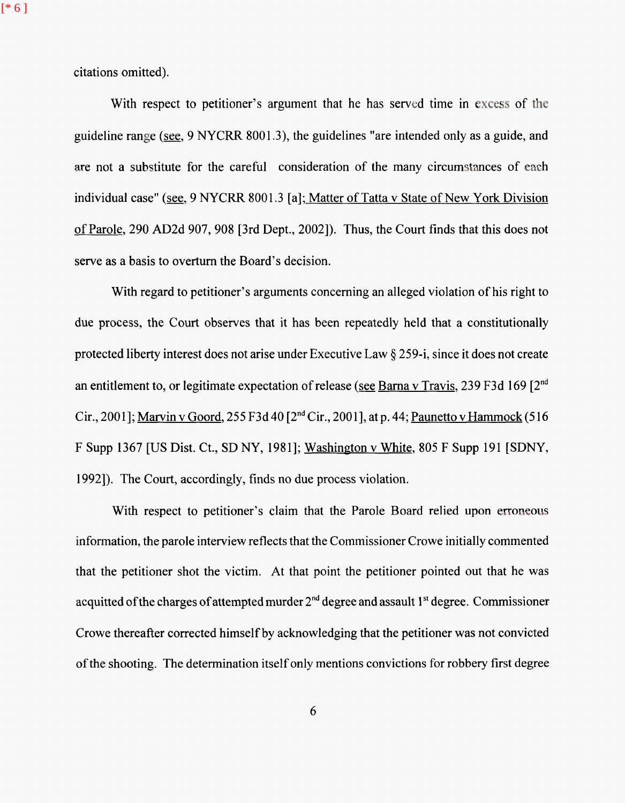[\* 6 ]

citations omitted).

With respect to petitioner's argument that he has served time in excess of the guideline range *(see,* 9 NYCRR 8001.3), the guidelines ''are intended only as a guide, and are not a substitute for the careful consideration of the many circumstances of each individual case" (see, 9 NYCRR 8001.3 [a]; Matter of Tatta v State of New York Division of Parole, 290 AD2d 907,908 [3rd Dept., 20021). Thus, the Court finds that this does not serve as a basis to overturn the Board's decision.

With regard to petitioner's arguments concerning an alleged violation of his right to due process, the Court observes that it has been repeatedly held that a constitutionally protected liberty interest does not arise under Executive Law *5* 259-i, since it does not create an entitlement to, or legitimate expectation of release *(see* Barna v Travis, 239 F3d 169 [2nd Cir., 2001]; Marvin v Goord, 255 F3d 40 [2<sup>nd</sup> Cir., 2001], at p. 44; Paunetto v Hammock (516) F Supp 1367 **[US** Dist. Ct., SD NY, 19811; Washington v White, 805 F Supp 191 [SDNY, 19921). The Court, accordingly, finds no due process violation.

With respect to petitioner's claim that the Parole Board relied upon erroneous information, the parole interview reflects that the Commissioner Crowe initially commented that the petitioner shot the victim. At that point the petitioner pointed out that he was acquitted of the charges of attempted murder 2"d degree and assault **1''** degree. Commissioner Crowe thereafter corrected himself by acknowledging that the petitioner was not convicted of the shooting. The determination itself only mentions convictions for robbery first degree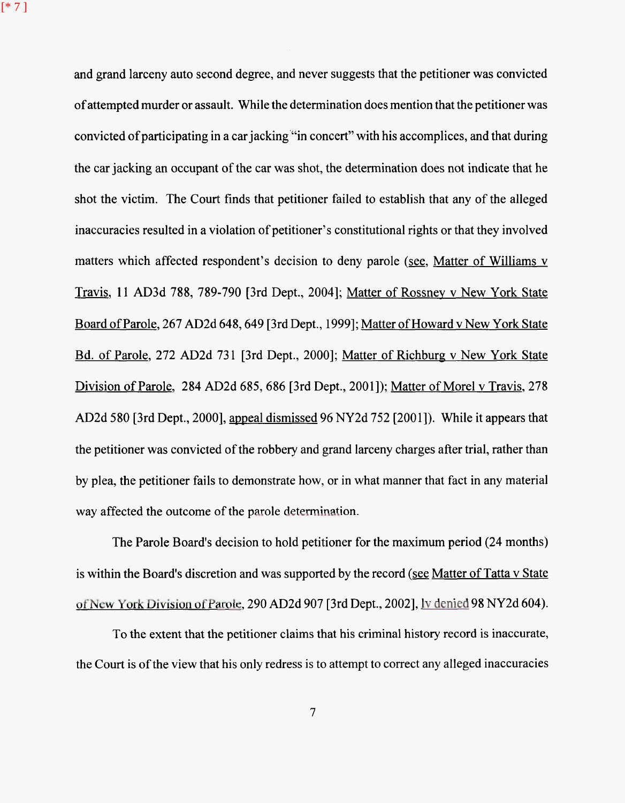[\* 7 ]

and grand larceny auto second degree, and never suggests that the petitioner was convicted of attempted murder or assault. While the determination does mention that the petitioner was convicted of participating in a car jacking'"in concert" with his accomplices, and that during the car jacking an occupant of the car was shot, the determination does not indicate that he shot the victim. The Court finds that petitioner failed to establish that any of the alleged inaccuracies resulted in a violation of petitioner's constitutional rights or that they involved matters which affected respondent's decision to deny parole *(see,* Matter of Williams v **-3** Travis 11 AD3d 788, 789-790 [3rd Dept., 20041; Matter of Rossnev **v** New York State Board of Parole, 267 AD2d 648, 649 [3rd Dept., 1999]; Matter of Howard v New York State Bd. of Parole, 272 AD2d 731 [3rd Dept., 2000]; Matter of Richburg v New York State Division of Parole, 284 AD2d 685, 686 [3rd Dept., 20011); Matter of Morel v Travis, 278 AD2d 580 [3rd Dept., 2000], appeal dismissed 96 NY2d 752 [2001]). While it appears that the petitioner was convicted of the robbery and grand larceny charges after trial, rather than by plea, the petitioner fails to demonstrate how, or in what manner that fact in any material way affected the outcome of the parole determination.

The Parole Board's decision to hold petitioner for the maximum period (24 months) is within the Board's discretion and was supported by the record *(see* Matter of Tatta v State of New York Division of Parole, 290 AD2d 907 [3rd Dept., 2002], <u>Iv denied 98 NY2d 604</u>).

To the extent that the petitioner claims that his criminal history record is inaccurate, the Court is of the view that his only redress is to attempt to correct any alleged inaccuracies